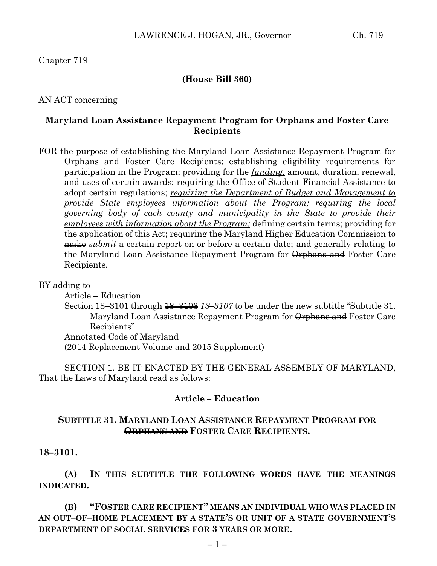### **(House Bill 360)**

AN ACT concerning

### **Maryland Loan Assistance Repayment Program for Orphans and Foster Care Recipients**

FOR the purpose of establishing the Maryland Loan Assistance Repayment Program for Orphans and Foster Care Recipients; establishing eligibility requirements for participation in the Program; providing for the *funding,* amount, duration, renewal, and uses of certain awards; requiring the Office of Student Financial Assistance to adopt certain regulations; *requiring the Department of Budget and Management to provide State employees information about the Program; requiring the local governing body of each county and municipality in the State to provide their employees with information about the Program;* defining certain terms; providing for the application of this Act; requiring the Maryland Higher Education Commission to make *submit* a certain report on or before a certain date; and generally relating to the Maryland Loan Assistance Repayment Program for Orphans and Foster Care Recipients.

#### BY adding to

Article – Education

Section 18–3101 through 18–3106 *18–3107* to be under the new subtitle "Subtitle 31. Maryland Loan Assistance Repayment Program for Orphans and Foster Care Recipients" Annotated Code of Maryland

(2014 Replacement Volume and 2015 Supplement)

SECTION 1. BE IT ENACTED BY THE GENERAL ASSEMBLY OF MARYLAND, That the Laws of Maryland read as follows:

### **Article – Education**

### **SUBTITLE 31. MARYLAND LOAN ASSISTANCE REPAYMENT PROGRAM FOR ORPHANS AND FOSTER CARE RECIPIENTS.**

### **18–3101.**

**(A) IN THIS SUBTITLE THE FOLLOWING WORDS HAVE THE MEANINGS INDICATED.**

**(B) "FOSTER CARE RECIPIENT" MEANS AN INDIVIDUAL WHO WAS PLACED IN AN OUT–OF–HOME PLACEMENT BY A STATE'S OR UNIT OF A STATE GOVERNMENT'S DEPARTMENT OF SOCIAL SERVICES FOR 3 YEARS OR MORE.**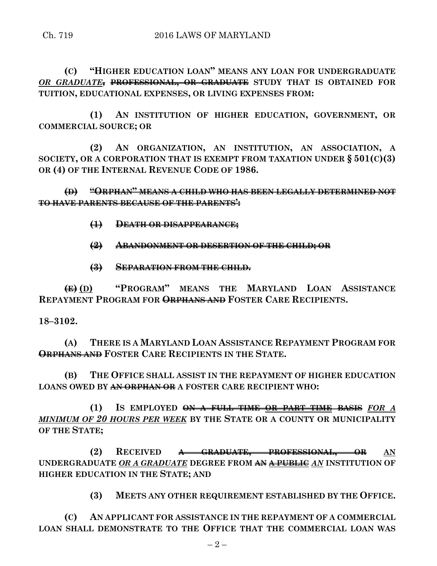**(C) "HIGHER EDUCATION LOAN" MEANS ANY LOAN FOR UNDERGRADUATE**  *OR GRADUATE***, PROFESSIONAL, OR GRADUATE STUDY THAT IS OBTAINED FOR TUITION, EDUCATIONAL EXPENSES, OR LIVING EXPENSES FROM:**

**(1) AN INSTITUTION OF HIGHER EDUCATION, GOVERNMENT, OR COMMERCIAL SOURCE; OR**

**(2) AN ORGANIZATION, AN INSTITUTION, AN ASSOCIATION, A SOCIETY, OR A CORPORATION THAT IS EXEMPT FROM TAXATION UNDER § 501(C)(3) OR (4) OF THE INTERNAL REVENUE CODE OF 1986.**

**(D) "ORPHAN" MEANS A CHILD WHO HAS BEEN LEGALLY DETERMINED NOT TO HAVE PARENTS BECAUSE OF THE PARENTS':**

- **(1) DEATH OR DISAPPEARANCE;**
- **(2) ABANDONMENT OR DESERTION OF THE CHILD; OR**
- **(3) SEPARATION FROM THE CHILD.**

**(E) (D) "PROGRAM" MEANS THE MARYLAND LOAN ASSISTANCE REPAYMENT PROGRAM FOR ORPHANS AND FOSTER CARE RECIPIENTS.**

### **18–3102.**

**(A) THERE IS A MARYLAND LOAN ASSISTANCE REPAYMENT PROGRAM FOR ORPHANS AND FOSTER CARE RECIPIENTS IN THE STATE.**

**(B) THE OFFICE SHALL ASSIST IN THE REPAYMENT OF HIGHER EDUCATION LOANS OWED BY AN ORPHAN OR A FOSTER CARE RECIPIENT WHO:**

**(1) IS EMPLOYED ON A FULL–TIME OR PART–TIME BASIS** *FOR A MINIMUM OF 20 HOURS PER WEEK* **BY THE STATE OR A COUNTY OR MUNICIPALITY OF THE STATE;**

**(2) RECEIVED A GRADUATE, PROFESSIONAL, OR AN UNDERGRADUATE** *OR A GRADUATE* **DEGREE FROM AN A PUBLIC** *AN* **INSTITUTION OF HIGHER EDUCATION IN THE STATE; AND**

**(3) MEETS ANY OTHER REQUIREMENT ESTABLISHED BY THE OFFICE.**

**(C) AN APPLICANT FOR ASSISTANCE IN THE REPAYMENT OF A COMMERCIAL LOAN SHALL DEMONSTRATE TO THE OFFICE THAT THE COMMERCIAL LOAN WAS**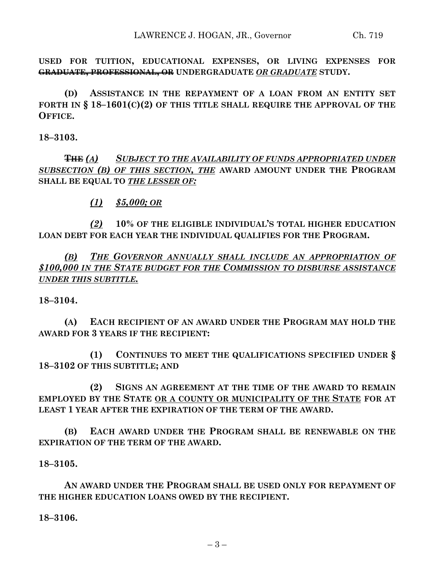**USED FOR TUITION, EDUCATIONAL EXPENSES, OR LIVING EXPENSES FOR GRADUATE, PROFESSIONAL, OR UNDERGRADUATE** *OR GRADUATE* **STUDY.**

**(D) ASSISTANCE IN THE REPAYMENT OF A LOAN FROM AN ENTITY SET FORTH IN § 18–1601(C)(2) OF THIS TITLE SHALL REQUIRE THE APPROVAL OF THE OFFICE.**

**18–3103.**

**THE** *(A) SUBJECT TO THE AVAILABILITY OF FUNDS APPROPRIATED UNDER SUBSECTION (B) OF THIS SECTION, THE* **AWARD AMOUNT UNDER THE PROGRAM SHALL BE EQUAL TO** *THE LESSER OF:*

*(1) \$5,000; OR*

*(2)* **10% OF THE ELIGIBLE INDIVIDUAL'S TOTAL HIGHER EDUCATION LOAN DEBT FOR EACH YEAR THE INDIVIDUAL QUALIFIES FOR THE PROGRAM.**

*(B) THE GOVERNOR ANNUALLY SHALL INCLUDE AN APPROPRIATION OF \$100,000 IN THE STATE BUDGET FOR THE COMMISSION TO DISBURSE ASSISTANCE UNDER THIS SUBTITLE.*

**18–3104.**

**(A) EACH RECIPIENT OF AN AWARD UNDER THE PROGRAM MAY HOLD THE AWARD FOR 3 YEARS IF THE RECIPIENT:**

**(1) CONTINUES TO MEET THE QUALIFICATIONS SPECIFIED UNDER § 18–3102 OF THIS SUBTITLE; AND**

**(2) SIGNS AN AGREEMENT AT THE TIME OF THE AWARD TO REMAIN EMPLOYED BY THE STATE OR A COUNTY OR MUNICIPALITY OF THE STATE FOR AT LEAST 1 YEAR AFTER THE EXPIRATION OF THE TERM OF THE AWARD.**

**(B) EACH AWARD UNDER THE PROGRAM SHALL BE RENEWABLE ON THE EXPIRATION OF THE TERM OF THE AWARD.**

**18–3105.**

**AN AWARD UNDER THE PROGRAM SHALL BE USED ONLY FOR REPAYMENT OF THE HIGHER EDUCATION LOANS OWED BY THE RECIPIENT.**

**18–3106.**